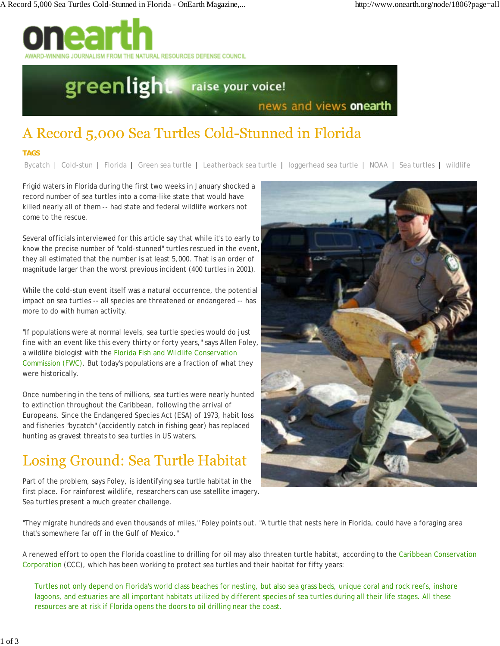

# greenlight raise your voice! news and views onearth

## A Record 5,000 Sea Turtles Cold-Stunned in Florida

### **TAGS**

Bycatch | Cold-stun | Florida | Green sea turtle | Leatherback sea turtle | loggerhead sea turtle | NOAA | Sea turtles | wildlife

Frigid waters in Florida during the first two weeks in January shocked a record number of sea turtles into a coma-like state that would have killed nearly all of them -- had state and federal wildlife workers not come to the rescue.

Several officials interviewed for this article say that while it's to early to know the precise number of "cold-stunned" turtles rescued in the event, they all estimated that the number is at least 5,000. That is an order of magnitude larger than the worst previous incident (400 turtles in 2001).

While the cold-stun event itself was a natural occurrence, the potential impact on sea turtles -- all species are threatened or endangered -- has more to do with human activity.

"If populations were at normal levels, sea turtle species would do just fine with an event like this every thirty or forty years," says Allen Foley, a wildlife biologist with the Florida Fish and Wildlife Conservation Commission (FWC). But today's populations are a fraction of what they were historically.

Once numbering in the tens of millions, sea turtles were nearly hunted to extinction throughout the Caribbean, following the arrival of Europeans. Since the Endangered Species Act (ESA) of 1973, habit loss and fisheries "bycatch" (accidently catch in fishing gear) has replaced hunting as gravest threats to sea turtles in US waters.

### Losing Ground: Sea Turtle Habitat

Part of the problem, says Foley, is identifying sea turtle habitat in the first place. For rainforest wildlife, researchers can use satellite imagery. Sea turtles present a much greater challenge.



"They migrate hundreds and even thousands of miles," Foley points out. "A turtle that nests here in Florida, could have a foraging area that's somewhere far off in the Gulf of Mexico."

A renewed effort to open the Florida coastline to drilling for oil may also threaten turtle habitat, according to the Caribbean Conservation Corporation (CCC), which has been working to protect sea turtles and their habitat for fifty years:

Turtles not only depend on Florida's world class beaches for nesting, but also sea grass beds, unique coral and rock reefs, inshore lagoons, and estuaries are all important habitats utilized by different species of sea turtles during all their life stages. All these resources are at risk if Florida opens the doors to oil drilling near the coast.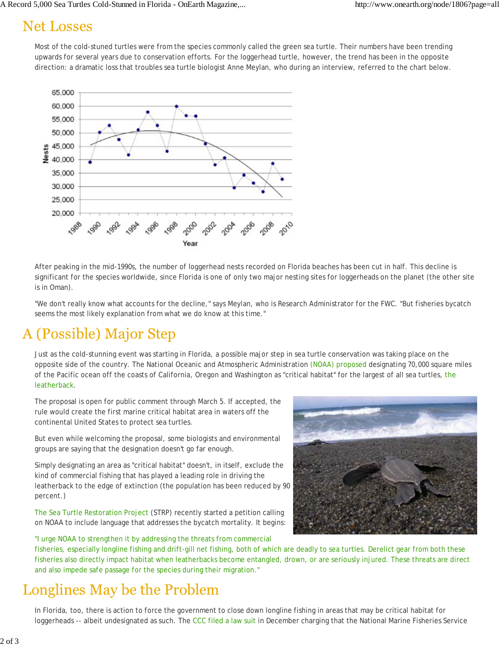### **Net Losses**

Most of the cold-stuned turtles were from the species commonly called the green sea turtle. Their numbers have been trending upwards for several years due to conservation efforts. For the loggerhead turtle, however, the trend has been in the opposite direction: a dramatic loss that troubles sea turtle biologist Anne Meylan, who during an interview, referred to the chart below.



After peaking in the mid-1990s, the number of loggerhead nests recorded on Florida beaches has been cut in half. This decline is significant for the species worldwide, since Florida is one of only two major nesting sites for loggerheads on the planet (the other site is in Oman).

"We don't really know what accounts for the decline," says Meylan, who is Research Administrator for the FWC. "But fisheries bycatch seems the most likely explanation from what we do know at this time."

### A (Possible) Major Step

Just as the cold-stunning event was starting in Florida, a possible major step in sea turtle conservation was taking place on the opposite side of the country. The National Oceanic and Atmospheric Administration (NOAA) proposed designating 70,000 square miles of the Pacific ocean off the coasts of California, Oregon and Washington as "critical habitat" for the largest of all sea turtles, the leatherback.

The proposal is open for public comment through March 5. If accepted, the rule would create the first marine critical habitat area in waters off the continental United States to protect sea turtles.

But even while welcoming the proposal, some biologists and environmental groups are saying that the designation doesn't go far enough.

Simply designating an area as "critical habitat" doesn't, in itself, exclude the kind of commercial fishing that has played a leading role in driving the leatherback to the edge of extinction (the population has been reduced by 90 percent.)

The Sea Turtle Restoration Project (STRP) recently started a petition calling on NOAA to include language that addresses the bycatch mortality. It begins:

"I urge NOAA to strengthen it by addressing the threats from commercial

fisheries, especially longline fishing and drift-gill net fishing, both of which are deadly to sea turtles. Derelict gear from both these fisheries also directly impact habitat when leatherbacks become entangled, drown, or are seriously injured. These threats are direct and also impede safe passage for the species during their migration."

### Longlines May be the Problem

In Florida, too, there is action to force the government to close down longline fishing in areas that may be critical habitat for loggerheads -- albeit undesignated as such. The CCC filed a law suit in December charging that the National Marine Fisheries Service